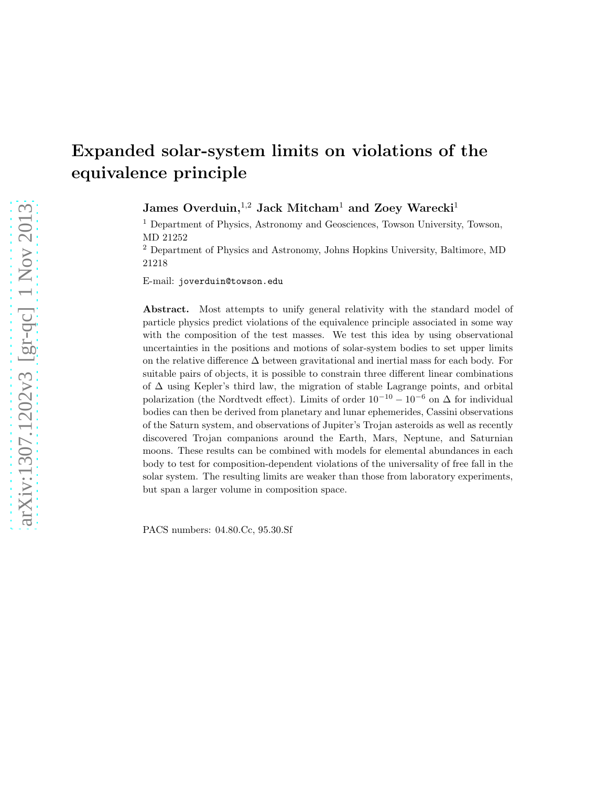# Expanded solar-system limits on violations of the equivalence principle

James Overduin,<sup>1,2</sup> Jack Mitcham<sup>1</sup> and Zoey Warecki<sup>1</sup>

<sup>1</sup> Department of Physics, Astronomy and Geosciences, Towson University, Towson, MD 21252

<sup>2</sup> Department of Physics and Astronomy, Johns Hopkins University, Baltimore, MD 21218

E-mail: joverduin@towson.edu

Abstract. Most attempts to unify general relativity with the standard model of particle physics predict violations of the equivalence principle associated in some way with the composition of the test masses. We test this idea by using observational uncertainties in the positions and motions of solar-system bodies to set upper limits on the relative difference  $\Delta$  between gravitational and inertial mass for each body. For suitable pairs of objects, it is possible to constrain three different linear combinations of ∆ using Kepler's third law, the migration of stable Lagrange points, and orbital polarization (the Nordtvedt effect). Limits of order  $10^{-10} - 10^{-6}$  on  $\Delta$  for individual bodies can then be derived from planetary and lunar ephemerides, Cassini observations of the Saturn system, and observations of Jupiter's Trojan asteroids as well as recently discovered Trojan companions around the Earth, Mars, Neptune, and Saturnian moons. These results can be combined with models for elemental abundances in each body to test for composition-dependent violations of the universality of free fall in the solar system. The resulting limits are weaker than those from laboratory experiments, but span a larger volume in composition space.

PACS numbers: 04.80.Cc, 95.30.Sf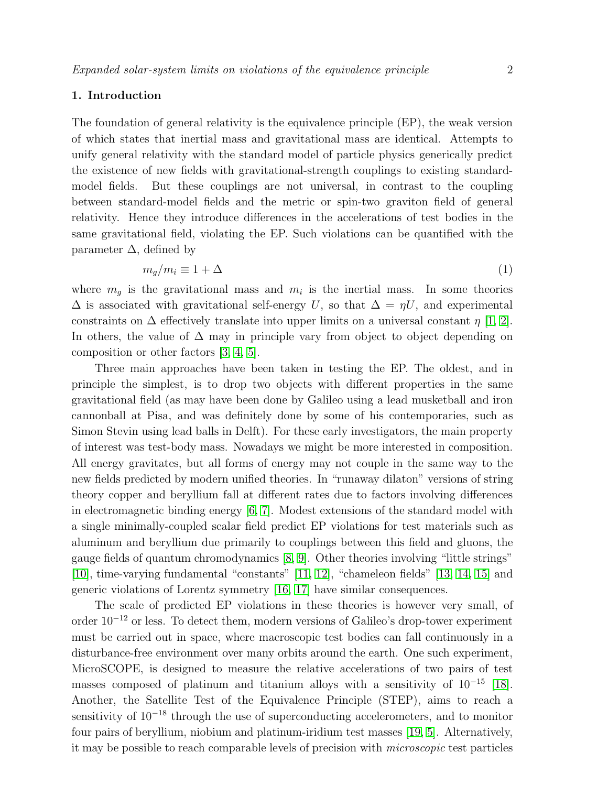## 1. Introduction

The foundation of general relativity is the equivalence principle (EP), the weak version of which states that inertial mass and gravitational mass are identical. Attempts to unify general relativity with the standard model of particle physics generically predict the existence of new fields with gravitational-strength couplings to existing standardmodel fields. But these couplings are not universal, in contrast to the coupling between standard-model fields and the metric or spin-two graviton field of general relativity. Hence they introduce differences in the accelerations of test bodies in the same gravitational field, violating the EP. Such violations can be quantified with the parameter  $\Delta$ , defined by

<span id="page-1-0"></span>
$$
m_g/m_i \equiv 1 + \Delta \tag{1}
$$

where  $m_g$  is the gravitational mass and  $m_i$  is the inertial mass. In some theories  $\Delta$  is associated with gravitational self-energy U, so that  $\Delta = \eta U$ , and experimental constraints on  $\Delta$  effectively translate into upper limits on a universal constant  $\eta$  [\[1,](#page-16-0) [2\]](#page-16-1). In others, the value of  $\Delta$  may in principle vary from object to object depending on composition or other factors [\[3,](#page-16-2) [4,](#page-16-3) [5\]](#page-16-4).

Three main approaches have been taken in testing the EP. The oldest, and in principle the simplest, is to drop two objects with different properties in the same gravitational field (as may have been done by Galileo using a lead musketball and iron cannonball at Pisa, and was definitely done by some of his contemporaries, such as Simon Stevin using lead balls in Delft). For these early investigators, the main property of interest was test-body mass. Nowadays we might be more interested in composition. All energy gravitates, but all forms of energy may not couple in the same way to the new fields predicted by modern unified theories. In "runaway dilaton" versions of string theory copper and beryllium fall at different rates due to factors involving differences in electromagnetic binding energy [\[6,](#page-16-5) [7\]](#page-16-6). Modest extensions of the standard model with a single minimally-coupled scalar field predict EP violations for test materials such as aluminum and beryllium due primarily to couplings between this field and gluons, the gauge fields of quantum chromodynamics [\[8,](#page-16-7) [9\]](#page-16-8). Other theories involving "little strings" [\[10\]](#page-16-9), time-varying fundamental "constants" [\[11,](#page-16-10) [12\]](#page-16-11), "chameleon fields" [\[13,](#page-16-12) [14,](#page-16-13) [15\]](#page-16-14) and generic violations of Lorentz symmetry [\[16,](#page-16-15) [17\]](#page-16-16) have similar consequences.

The scale of predicted EP violations in these theories is however very small, of order 10−<sup>12</sup> or less. To detect them, modern versions of Galileo's drop-tower experiment must be carried out in space, where macroscopic test bodies can fall continuously in a disturbance-free environment over many orbits around the earth. One such experiment, MicroSCOPE, is designed to measure the relative accelerations of two pairs of test masses composed of platinum and titanium alloys with a sensitivity of  $10^{-15}$  [\[18\]](#page-16-17). Another, the Satellite Test of the Equivalence Principle (STEP), aims to reach a sensitivity of 10<sup>−18</sup> through the use of superconducting accelerometers, and to monitor four pairs of beryllium, niobium and platinum-iridium test masses [\[19,](#page-16-18) [5\]](#page-16-4). Alternatively, it may be possible to reach comparable levels of precision with microscopic test particles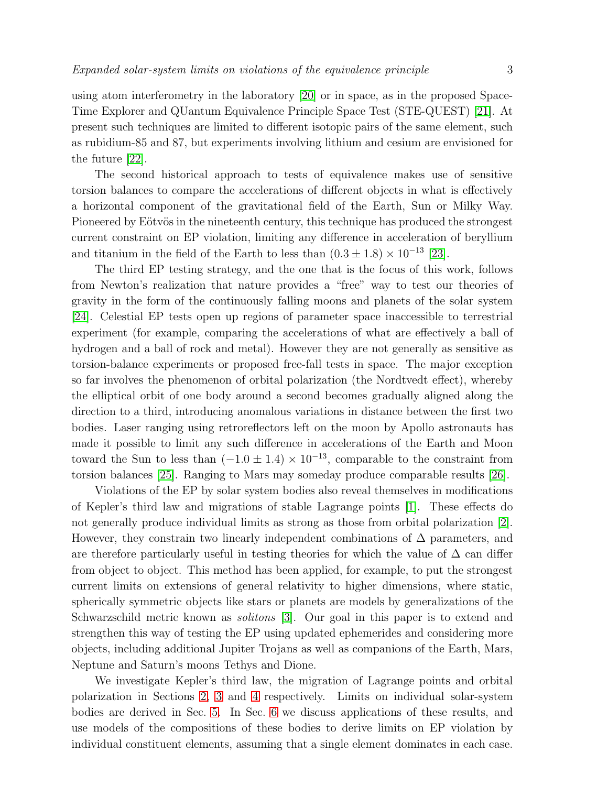using atom interferometry in the laboratory [\[20\]](#page-16-19) or in space, as in the proposed Space-Time Explorer and QUantum Equivalence Principle Space Test (STE-QUEST) [\[21\]](#page-16-20). At present such techniques are limited to different isotopic pairs of the same element, such as rubidium-85 and 87, but experiments involving lithium and cesium are envisioned for the future [\[22\]](#page-16-21).

The second historical approach to tests of equivalence makes use of sensitive torsion balances to compare the accelerations of different objects in what is effectively a horizontal component of the gravitational field of the Earth, Sun or Milky Way. Pioneered by Eötvös in the nineteenth century, this technique has produced the strongest current constraint on EP violation, limiting any difference in acceleration of beryllium and titanium in the field of the Earth to less than  $(0.3 \pm 1.8) \times 10^{-13}$  [\[23\]](#page-16-22).

The third EP testing strategy, and the one that is the focus of this work, follows from Newton's realization that nature provides a "free" way to test our theories of gravity in the form of the continuously falling moons and planets of the solar system [\[24\]](#page-16-23). Celestial EP tests open up regions of parameter space inaccessible to terrestrial experiment (for example, comparing the accelerations of what are effectively a ball of hydrogen and a ball of rock and metal). However they are not generally as sensitive as torsion-balance experiments or proposed free-fall tests in space. The major exception so far involves the phenomenon of orbital polarization (the Nordtvedt effect), whereby the elliptical orbit of one body around a second becomes gradually aligned along the direction to a third, introducing anomalous variations in distance between the first two bodies. Laser ranging using retroreflectors left on the moon by Apollo astronauts has made it possible to limit any such difference in accelerations of the Earth and Moon toward the Sun to less than  $(-1.0 \pm 1.4) \times 10^{-13}$ , comparable to the constraint from torsion balances [\[25\]](#page-16-24). Ranging to Mars may someday produce comparable results [\[26\]](#page-16-25).

Violations of the EP by solar system bodies also reveal themselves in modifications of Kepler's third law and migrations of stable Lagrange points [\[1\]](#page-16-0). These effects do not generally produce individual limits as strong as those from orbital polarization [\[2\]](#page-16-1). However, they constrain two linearly independent combinations of  $\Delta$  parameters, and are therefore particularly useful in testing theories for which the value of  $\Delta$  can differ from object to object. This method has been applied, for example, to put the strongest current limits on extensions of general relativity to higher dimensions, where static, spherically symmetric objects like stars or planets are models by generalizations of the Schwarzschild metric known as solitons [\[3\]](#page-16-2). Our goal in this paper is to extend and strengthen this way of testing the EP using updated ephemerides and considering more objects, including additional Jupiter Trojans as well as companions of the Earth, Mars, Neptune and Saturn's moons Tethys and Dione.

We investigate Kepler's third law, the migration of Lagrange points and orbital polarization in Sections [2,](#page-3-0) [3](#page-4-0) and [4](#page-8-0) respectively. Limits on individual solar-system bodies are derived in Sec. [5.](#page-11-0) In Sec. [6](#page-13-0) we discuss applications of these results, and use models of the compositions of these bodies to derive limits on EP violation by individual constituent elements, assuming that a single element dominates in each case.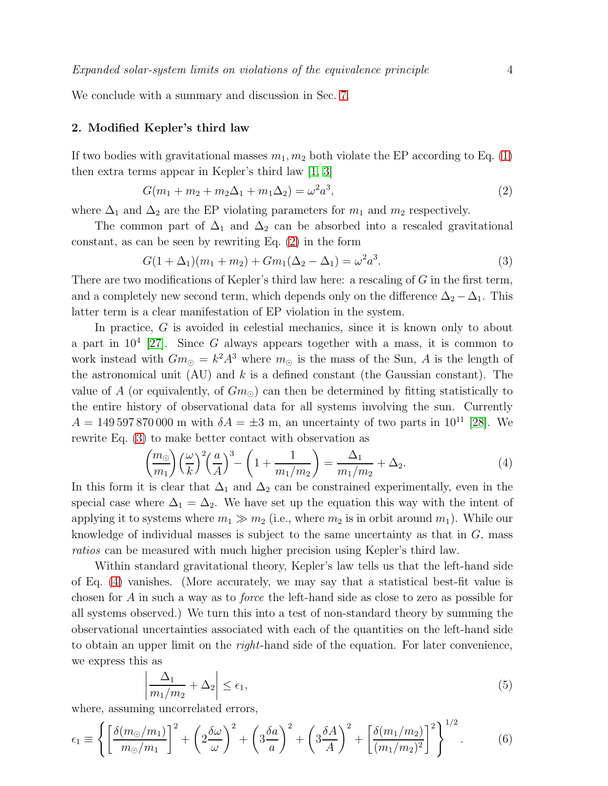<span id="page-3-0"></span>We conclude with a summary and discussion in Sec. [7.](#page-15-0)

### 2. Modified Kepler's third law

If two bodies with gravitational masses  $m_1, m_2$  both violate the EP according to Eq. [\(1\)](#page-1-0) then extra terms appear in Kepler's third law [\[1,](#page-16-0) [3\]](#page-16-2)

<span id="page-3-1"></span>
$$
G(m_1 + m_2 + m_2\Delta_1 + m_1\Delta_2) = \omega^2 a^3,
$$
\n(2)

where  $\Delta_1$  and  $\Delta_2$  are the EP violating parameters for  $m_1$  and  $m_2$  respectively.

The common part of  $\Delta_1$  and  $\Delta_2$  can be absorbed into a rescaled gravitational constant, as can be seen by rewriting Eq. [\(2\)](#page-3-1) in the form

<span id="page-3-2"></span>
$$
G(1 + \Delta_1)(m_1 + m_2) + Gm_1(\Delta_2 - \Delta_1) = \omega^2 a^3.
$$
 (3)

There are two modifications of Kepler's third law here: a rescaling of G in the first term, and a completely new second term, which depends only on the difference  $\Delta_2 - \Delta_1$ . This latter term is a clear manifestation of EP violation in the system.

In practice, G is avoided in celestial mechanics, since it is known only to about a part in  $10^4$  [\[27\]](#page-16-26). Since G always appears together with a mass, it is common to work instead with  $Gm_{\odot} = k^2 A^3$  where  $m_{\odot}$  is the mass of the Sun, A is the length of the astronomical unit (AU) and  $k$  is a defined constant (the Gaussian constant). The value of A (or equivalently, of  $G_{m}$ ) can then be determined by fitting statistically to the entire history of observational data for all systems involving the sun. Currently  $A = 149\,597\,870\,000$  m with  $\delta A = \pm 3$  m, an uncertainty of two parts in 10<sup>11</sup> [\[28\]](#page-16-27). We rewrite Eq. [\(3\)](#page-3-2) to make better contact with observation as

<span id="page-3-3"></span>
$$
\left(\frac{m_{\odot}}{m_1}\right)\left(\frac{\omega}{k}\right)^2\left(\frac{a}{A}\right)^3 - \left(1 + \frac{1}{m_1/m_2}\right) = \frac{\Delta_1}{m_1/m_2} + \Delta_2.
$$
\n(4)

In this form it is clear that  $\Delta_1$  and  $\Delta_2$  can be constrained experimentally, even in the special case where  $\Delta_1 = \Delta_2$ . We have set up the equation this way with the intent of applying it to systems where  $m_1 \gg m_2$  (i.e., where  $m_2$  is in orbit around  $m_1$ ). While our knowledge of individual masses is subject to the same uncertainty as that in  $G$ , mass ratios can be measured with much higher precision using Kepler's third law.

Within standard gravitational theory, Kepler's law tells us that the left-hand side of Eq. [\(4\)](#page-3-3) vanishes. (More accurately, we may say that a statistical best-fit value is chosen for A in such a way as to force the left-hand side as close to zero as possible for all systems observed.) We turn this into a test of non-standard theory by summing the observational uncertainties associated with each of the quantities on the left-hand side to obtain an upper limit on the *right*-hand side of the equation. For later convenience, we express this as

<span id="page-3-5"></span><span id="page-3-4"></span>
$$
\left|\frac{\Delta_1}{m_1/m_2} + \Delta_2\right| \le \epsilon_1,\tag{5}
$$

where, assuming uncorrelated errors,

$$
\epsilon_1 \equiv \left\{ \left[ \frac{\delta(m_\odot/m_1)}{m_\odot/m_1} \right]^2 + \left( 2 \frac{\delta \omega}{\omega} \right)^2 + \left( 3 \frac{\delta a}{a} \right)^2 + \left( 3 \frac{\delta A}{A} \right)^2 + \left[ \frac{\delta(m_1/m_2)}{(m_1/m_2)^2} \right]^2 \right\}^{1/2}.
$$
 (6)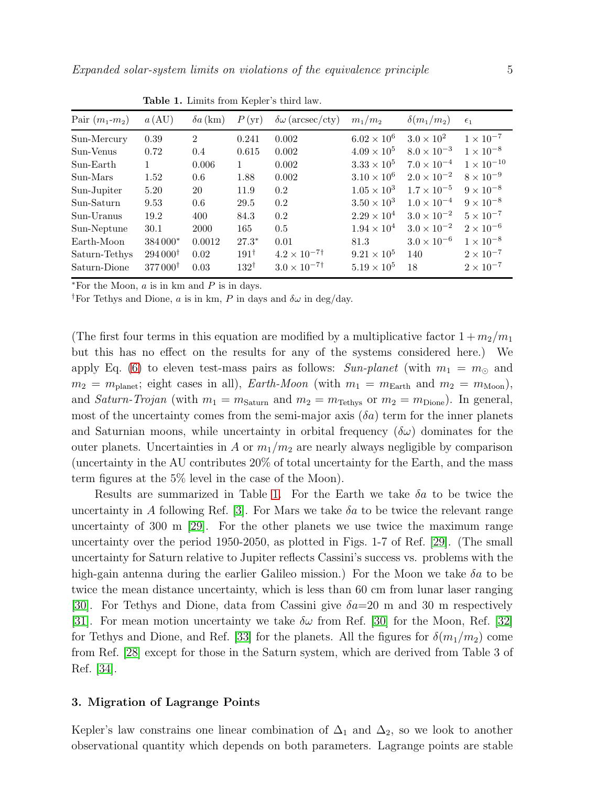| Pair $(m_1-m_2)$ | $a\left(\mathrm{AU}\right)$ | $\delta a$ (km) | P(yr)           | $\delta\omega$ (arcsec/cty) | $m_1/m_2$            | $\delta(m_1/m_2)$    | $\epsilon_1$        |
|------------------|-----------------------------|-----------------|-----------------|-----------------------------|----------------------|----------------------|---------------------|
| Sun-Mercury      | 0.39                        | $\overline{2}$  | 0.241           | 0.002                       | $6.02 \times 10^{6}$ | $3.0 \times 10^2$    | $1 \times 10^{-7}$  |
| Sun-Venus        | 0.72                        | 0.4             | 0.615           | 0.002                       | $4.09 \times 10^{5}$ | $8.0 \times 10^{-3}$ | $1 \times 10^{-8}$  |
| Sun-Earth        |                             | 0.006           | 1               | 0.002                       | $3.33 \times 10^{5}$ | $7.0 \times 10^{-4}$ | $1 \times 10^{-10}$ |
| Sun-Mars         | 1.52                        | 0.6             | 1.88            | 0.002                       | $3.10 \times 10^{6}$ | $2.0 \times 10^{-2}$ | $8 \times 10^{-9}$  |
| Sun-Jupiter      | 5.20                        | 20              | 11.9            | 0.2                         | $1.05 \times 10^{3}$ | $1.7 \times 10^{-5}$ | $9 \times 10^{-8}$  |
| Sun-Saturn       | 9.53                        | 0.6             | 29.5            | 0.2                         | $3.50 \times 10^{3}$ | $1.0 \times 10^{-4}$ | $9 \times 10^{-8}$  |
| Sun-Uranus       | 19.2                        | 400             | 84.3            | 0.2                         | $2.29 \times 10^{4}$ | $3.0 \times 10^{-2}$ | $5 \times 10^{-7}$  |
| Sun-Neptune      | 30.1                        | 2000            | 165             | 0.5                         | $1.94 \times 10^{4}$ | $3.0 \times 10^{-2}$ | $2 \times 10^{-6}$  |
| Earth-Moon       | 384000*                     | 0.0012          | $27.3*$         | 0.01                        | 81.3                 | $3.0 \times 10^{-6}$ | $1 \times 10^{-8}$  |
| Saturn-Tethys    | $294000^{\dagger}$          | 0.02            | $191^{\dagger}$ | $4.2 \times 10^{-7}$        | $9.21 \times 10^5$   | 140                  | $2 \times 10^{-7}$  |
| Saturn-Dione     | $377000^{\dagger}$          | 0.03            | $132^{\dagger}$ | $3.0 \times 10^{-7}$        | $5.19 \times 10^{5}$ | 18                   | $2 \times 10^{-7}$  |

<span id="page-4-1"></span>Table 1. Limits from Kepler's third law.

 $*$ For the Moon,  $a$  is in km and  $P$  is in days.

<sup>†</sup>For Tethys and Dione, a is in km, P in days and  $\delta\omega$  in deg/day.

(The first four terms in this equation are modified by a multiplicative factor  $1 + m_2/m_1$ but this has no effect on the results for any of the systems considered here.) We apply Eq. [\(6\)](#page-3-4) to eleven test-mass pairs as follows:  $Sun-plane t$  (with  $m_1 = m_{\odot}$  and  $m_2 = m_{\text{planet}};$  eight cases in all), *Earth-Moon* (with  $m_1 = m_{\text{Earth}}$  and  $m_2 = m_{\text{Moon}}$ ), and Saturn-Trojan (with  $m_1 = m_{\text{Saturn}}$  and  $m_2 = m_{\text{Tethys}}$  or  $m_2 = m_{\text{Dione}}$ ). In general, most of the uncertainty comes from the semi-major axis  $(\delta a)$  term for the inner planets and Saturnian moons, while uncertainty in orbital frequency  $(\delta \omega)$  dominates for the outer planets. Uncertainties in A or  $m_1/m_2$  are nearly always negligible by comparison (uncertainty in the AU contributes 20% of total uncertainty for the Earth, and the mass term figures at the 5% level in the case of the Moon).

Results are summarized in Table [1.](#page-4-1) For the Earth we take  $\delta a$  to be twice the uncertainty in A following Ref. [\[3\]](#page-16-2). For Mars we take  $\delta a$  to be twice the relevant range uncertainty of 300 m [\[29\]](#page-17-0). For the other planets we use twice the maximum range uncertainty over the period 1950-2050, as plotted in Figs. 1-7 of Ref. [\[29\]](#page-17-0). (The small uncertainty for Saturn relative to Jupiter reflects Cassini's success vs. problems with the high-gain antenna during the earlier Galileo mission.) For the Moon we take  $\delta a$  to be twice the mean distance uncertainty, which is less than 60 cm from lunar laser ranging [\[30\]](#page-17-1). For Tethys and Dione, data from Cassini give  $\delta a=20$  m and 30 m respectively [\[31\]](#page-17-2). For mean motion uncertainty we take  $\delta\omega$  from Ref. [\[30\]](#page-17-1) for the Moon, Ref. [\[32\]](#page-17-3) for Tethys and Dione, and Ref. [\[33\]](#page-17-4) for the planets. All the figures for  $\delta(m_1/m_2)$  come from Ref. [\[28\]](#page-16-27) except for those in the Saturn system, which are derived from Table 3 of Ref. [\[34\]](#page-17-5).

#### <span id="page-4-0"></span>3. Migration of Lagrange Points

Kepler's law constrains one linear combination of  $\Delta_1$  and  $\Delta_2$ , so we look to another observational quantity which depends on both parameters. Lagrange points are stable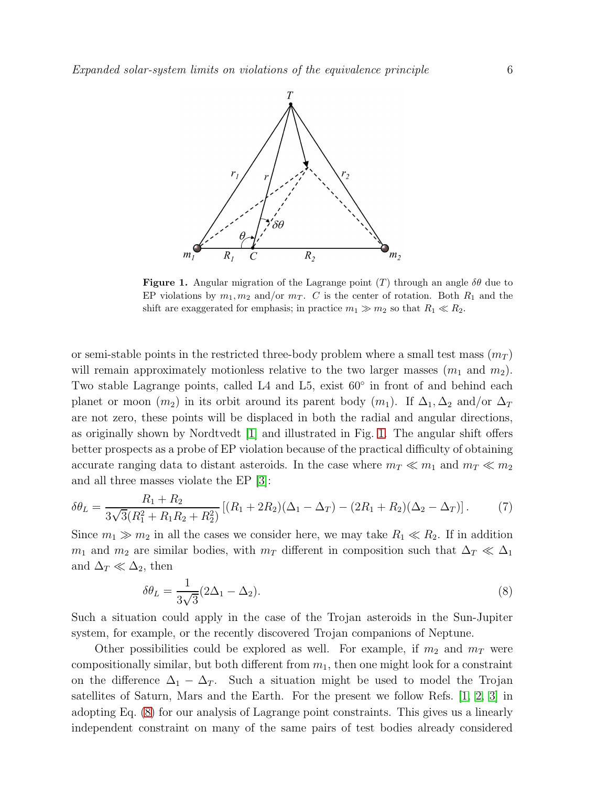

<span id="page-5-0"></span>**Figure 1.** Angular migration of the Lagrange point (T) through an angle  $\delta\theta$  due to EP violations by  $m_1, m_2$  and/or  $m_T$ . C is the center of rotation. Both  $R_1$  and the shift are exaggerated for emphasis; in practice  $m_1 \gg m_2$  so that  $R_1 \ll R_2$ .

or semi-stable points in the restricted three-body problem where a small test mass  $(m_T)$ will remain approximately motionless relative to the two larger masses  $(m_1 \text{ and } m_2)$ . Two stable Lagrange points, called L4 and L5, exist 60◦ in front of and behind each planet or moon  $(m_2)$  in its orbit around its parent body  $(m_1)$ . If  $\Delta_1, \Delta_2$  and/or  $\Delta_T$ are not zero, these points will be displaced in both the radial and angular directions, as originally shown by Nordtvedt [\[1\]](#page-16-0) and illustrated in Fig. [1.](#page-5-0) The angular shift offers better prospects as a probe of EP violation because of the practical difficulty of obtaining accurate ranging data to distant asteroids. In the case where  $m_T \ll m_1$  and  $m_T \ll m_2$ and all three masses violate the EP [\[3\]](#page-16-2):

$$
\delta\theta_L = \frac{R_1 + R_2}{3\sqrt{3}(R_1^2 + R_1R_2 + R_2^2)} [(R_1 + 2R_2)(\Delta_1 - \Delta_T) - (2R_1 + R_2)(\Delta_2 - \Delta_T)].
$$
 (7)

Since  $m_1 \gg m_2$  in all the cases we consider here, we may take  $R_1 \ll R_2$ . If in addition  $m_1$  and  $m_2$  are similar bodies, with  $m_T$  different in composition such that  $\Delta_T \ll \Delta_1$ and  $\Delta_T \ll \Delta_2$ , then

<span id="page-5-1"></span>
$$
\delta\theta_L = \frac{1}{3\sqrt{3}} (2\Delta_1 - \Delta_2). \tag{8}
$$

Such a situation could apply in the case of the Trojan asteroids in the Sun-Jupiter system, for example, or the recently discovered Trojan companions of Neptune.

Other possibilities could be explored as well. For example, if  $m_2$  and  $m_T$  were compositionally similar, but both different from  $m_1$ , then one might look for a constraint on the difference  $\Delta_1 - \Delta_T$ . Such a situation might be used to model the Trojan satellites of Saturn, Mars and the Earth. For the present we follow Refs. [\[1,](#page-16-0) [2,](#page-16-1) [3\]](#page-16-2) in adopting Eq. [\(8\)](#page-5-1) for our analysis of Lagrange point constraints. This gives us a linearly independent constraint on many of the same pairs of test bodies already considered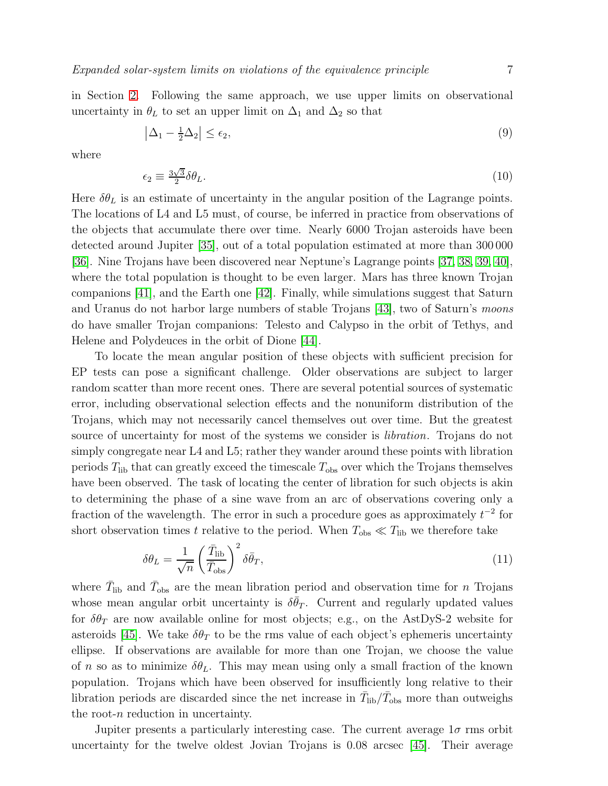in Section [2.](#page-3-0) Following the same approach, we use upper limits on observational uncertainty in  $\theta_L$  to set an upper limit on  $\Delta_1$  and  $\Delta_2$  so that

<span id="page-6-2"></span>
$$
\left|\Delta_1 - \frac{1}{2}\Delta_2\right| \le \epsilon_2,\tag{9}
$$

where

<span id="page-6-1"></span>
$$
\epsilon_2 \equiv \frac{3\sqrt{3}}{2} \delta \theta_L. \tag{10}
$$

Here  $\delta\theta_L$  is an estimate of uncertainty in the angular position of the Lagrange points. The locations of L4 and L5 must, of course, be inferred in practice from observations of the objects that accumulate there over time. Nearly 6000 Trojan asteroids have been detected around Jupiter [\[35\]](#page-17-6), out of a total population estimated at more than 300 000 [\[36\]](#page-17-7). Nine Trojans have been discovered near Neptune's Lagrange points [\[37,](#page-17-8) [38,](#page-17-9) [39,](#page-17-10) [40\]](#page-17-11), where the total population is thought to be even larger. Mars has three known Trojan companions [\[41\]](#page-17-12), and the Earth one [\[42\]](#page-17-13). Finally, while simulations suggest that Saturn and Uranus do not harbor large numbers of stable Trojans [\[43\]](#page-17-14), two of Saturn's moons do have smaller Trojan companions: Telesto and Calypso in the orbit of Tethys, and Helene and Polydeuces in the orbit of Dione [\[44\]](#page-17-15).

To locate the mean angular position of these objects with sufficient precision for EP tests can pose a significant challenge. Older observations are subject to larger random scatter than more recent ones. There are several potential sources of systematic error, including observational selection effects and the nonuniform distribution of the Trojans, which may not necessarily cancel themselves out over time. But the greatest source of uncertainty for most of the systems we consider is libration. Trojans do not simply congregate near L4 and L5; rather they wander around these points with libration periods  $T_{\text{lib}}$  that can greatly exceed the timescale  $T_{\text{obs}}$  over which the Trojans themselves have been observed. The task of locating the center of libration for such objects is akin to determining the phase of a sine wave from an arc of observations covering only a fraction of the wavelength. The error in such a procedure goes as approximately  $t^{-2}$  for short observation times t relative to the period. When  $T_{obs} \ll T_{lib}$  we therefore take

<span id="page-6-0"></span>
$$
\delta\theta_L = \frac{1}{\sqrt{n}} \left(\frac{\bar{T}_{\rm lib}}{\bar{T}_{\rm obs}}\right)^2 \delta\bar{\theta}_T,\tag{11}
$$

where  $\bar{T}_{\text{lib}}$  and  $\bar{T}_{\text{obs}}$  are the mean libration period and observation time for n Trojans whose mean angular orbit uncertainty is  $\delta \bar{\theta}_T$ . Current and regularly updated values for  $\delta\theta_T$  are now available online for most objects; e.g., on the AstDyS-2 website for asteroids [\[45\]](#page-17-16). We take  $\delta \theta_T$  to be the rms value of each object's ephemeris uncertainty ellipse. If observations are available for more than one Trojan, we choose the value of n so as to minimize  $\delta \theta_L$ . This may mean using only a small fraction of the known population. Trojans which have been observed for insufficiently long relative to their libration periods are discarded since the net increase in  $\bar{T}_{\text{lib}}/\bar{T}_{\text{obs}}$  more than outweighs the root-n reduction in uncertainty.

Jupiter presents a particularly interesting case. The current average  $1\sigma$  rms orbit uncertainty for the twelve oldest Jovian Trojans is 0.08 arcsec [\[45\]](#page-17-16). Their average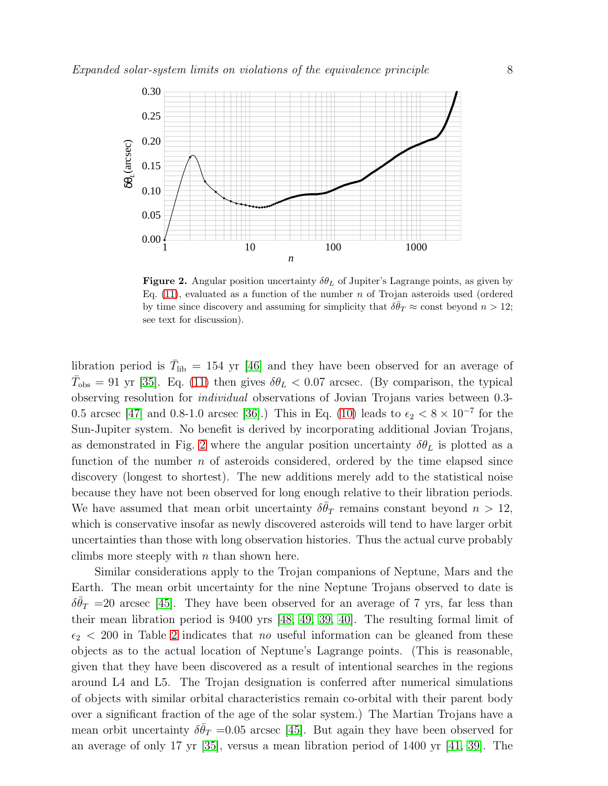

<span id="page-7-0"></span>**Figure 2.** Angular position uncertainty  $\delta \theta_L$  of Jupiter's Lagrange points, as given by Eq.  $(11)$ , evaluated as a function of the number n of Trojan asteroids used (ordered by time since discovery and assuming for simplicity that  $\delta \bar{\theta}_T \approx$  const beyond  $n > 12$ ; see text for discussion).

libration period is  $\bar{T}_{\text{lib}} = 154$  yr [\[46\]](#page-17-17) and they have been observed for an average of  $\bar{T}_{obs} = 91$  yr [\[35\]](#page-17-6). Eq. [\(11\)](#page-6-0) then gives  $\delta \theta_L < 0.07$  arcsec. (By comparison, the typical observing resolution for individual observations of Jovian Trojans varies between 0.3- 0.5 arcsec [\[47\]](#page-17-18) and 0.8-1.0 arcsec [\[36\]](#page-17-7).) This in Eq. [\(10\)](#page-6-1) leads to  $\epsilon_2 < 8 \times 10^{-7}$  for the Sun-Jupiter system. No benefit is derived by incorporating additional Jovian Trojans, as demonstrated in Fig. [2](#page-7-0) where the angular position uncertainty  $\delta \theta_L$  is plotted as a function of the number  $n$  of asteroids considered, ordered by the time elapsed since discovery (longest to shortest). The new additions merely add to the statistical noise because they have not been observed for long enough relative to their libration periods. We have assumed that mean orbit uncertainty  $\delta \bar{\theta}_T$  remains constant beyond  $n > 12$ , which is conservative insofar as newly discovered asteroids will tend to have larger orbit uncertainties than those with long observation histories. Thus the actual curve probably climbs more steeply with  $n$  than shown here.

Similar considerations apply to the Trojan companions of Neptune, Mars and the Earth. The mean orbit uncertainty for the nine Neptune Trojans observed to date is  $\delta \bar{\theta}_T$  =20 arcsec [\[45\]](#page-17-16). They have been observed for an average of 7 yrs, far less than their mean libration period is 9400 yrs [\[48,](#page-17-19) [49,](#page-17-20) [39,](#page-17-10) [40\]](#page-17-11). The resulting formal limit of  $\epsilon_2$  < [2](#page-8-1)00 in Table 2 indicates that no useful information can be gleaned from these objects as to the actual location of Neptune's Lagrange points. (This is reasonable, given that they have been discovered as a result of intentional searches in the regions around L4 and L5. The Trojan designation is conferred after numerical simulations of objects with similar orbital characteristics remain co-orbital with their parent body over a significant fraction of the age of the solar system.) The Martian Trojans have a mean orbit uncertainty  $\delta \bar{\theta}_T = 0.05$  arcsec [\[45\]](#page-17-16). But again they have been observed for an average of only 17 yr [\[35\]](#page-17-6), versus a mean libration period of 1400 yr [\[41,](#page-17-12) [39\]](#page-17-10). The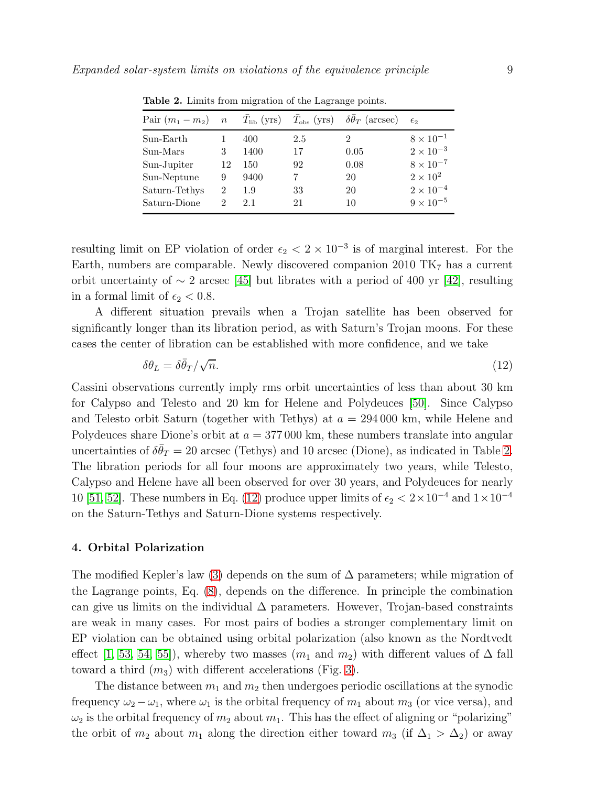<span id="page-8-1"></span>

| Pair $(m_1 - m_2)$ n $\overline{T}_{\text{lib}}$ (yrs) $\overline{T}_{\text{obs}}$ (yrs) $\delta \overline{\theta}_T$ (arcsec) |                |      |     |      | $\epsilon$         |
|--------------------------------------------------------------------------------------------------------------------------------|----------------|------|-----|------|--------------------|
| Sun-Earth                                                                                                                      |                | 400  | 2.5 | 2    | $8 \times 10^{-1}$ |
| Sun-Mars                                                                                                                       | 3              | 1400 | 17  | 0.05 | $2 \times 10^{-3}$ |
| Sun-Jupiter                                                                                                                    | 12             | 150  | 92  | 0.08 | $8 \times 10^{-7}$ |
| Sun-Neptune                                                                                                                    | 9              | 9400 |     | 20   | $2 \times 10^2$    |
| Saturn-Tethys                                                                                                                  | $\mathfrak{D}$ | 1.9  | 33  | 20   | $2 \times 10^{-4}$ |
| Saturn-Dione                                                                                                                   | 2              | 2.1  | 21  | 10   | $9 \times 10^{-5}$ |
|                                                                                                                                |                |      |     |      |                    |

Table 2. Limits from migration of the Lagrange points.

resulting limit on EP violation of order  $\epsilon_2 < 2 \times 10^{-3}$  is of marginal interest. For the Earth, numbers are comparable. Newly discovered companion 2010  $TK<sub>7</sub>$  has a current orbit uncertainty of  $\sim 2$  arcsec [\[45\]](#page-17-16) but librates with a period of 400 yr [\[42\]](#page-17-13), resulting in a formal limit of  $\epsilon_2 < 0.8$ .

A different situation prevails when a Trojan satellite has been observed for significantly longer than its libration period, as with Saturn's Trojan moons. For these cases the center of libration can be established with more confidence, and we take

<span id="page-8-2"></span>
$$
\delta \theta_L = \delta \bar{\theta}_T / \sqrt{n}.\tag{12}
$$

Cassini observations currently imply rms orbit uncertainties of less than about 30 km for Calypso and Telesto and 20 km for Helene and Polydeuces [\[50\]](#page-17-21). Since Calypso and Telesto orbit Saturn (together with Tethys) at  $a = 294\,000$  km, while Helene and Polydeuces share Dione's orbit at  $a = 377000$  km, these numbers translate into angular uncertainties of  $\delta \bar{\theta}_T = 20$  arcsec (Tethys) and 10 arcsec (Dione), as indicated in Table [2.](#page-8-1) The libration periods for all four moons are approximately two years, while Telesto, Calypso and Helene have all been observed for over 30 years, and Polydeuces for nearly 10 [\[51,](#page-17-22) [52\]](#page-17-23). These numbers in Eq. [\(12\)](#page-8-2) produce upper limits of  $\epsilon_2 < 2 \times 10^{-4}$  and  $1 \times 10^{-4}$ on the Saturn-Tethys and Saturn-Dione systems respectively.

## <span id="page-8-0"></span>4. Orbital Polarization

The modified Kepler's law [\(3\)](#page-3-2) depends on the sum of  $\Delta$  parameters; while migration of the Lagrange points, Eq. [\(8\)](#page-5-1), depends on the difference. In principle the combination can give us limits on the individual  $\Delta$  parameters. However, Trojan-based constraints are weak in many cases. For most pairs of bodies a stronger complementary limit on EP violation can be obtained using orbital polarization (also known as the Nordtvedt effect [\[1,](#page-16-0) [53,](#page-17-24) [54,](#page-17-25) [55\]](#page-17-26)), whereby two masses  $(m_1 \text{ and } m_2)$  with different values of  $\Delta$  fall toward a third  $(m_3)$  with different accelerations (Fig. [3\)](#page-9-0).

The distance between  $m_1$  and  $m_2$  then undergoes periodic oscillations at the synodic frequency  $\omega_2 - \omega_1$ , where  $\omega_1$  is the orbital frequency of  $m_1$  about  $m_3$  (or vice versa), and  $\omega_2$  is the orbital frequency of  $m_2$  about  $m_1$ . This has the effect of aligning or "polarizing" the orbit of  $m_2$  about  $m_1$  along the direction either toward  $m_3$  (if  $\Delta_1 > \Delta_2$ ) or away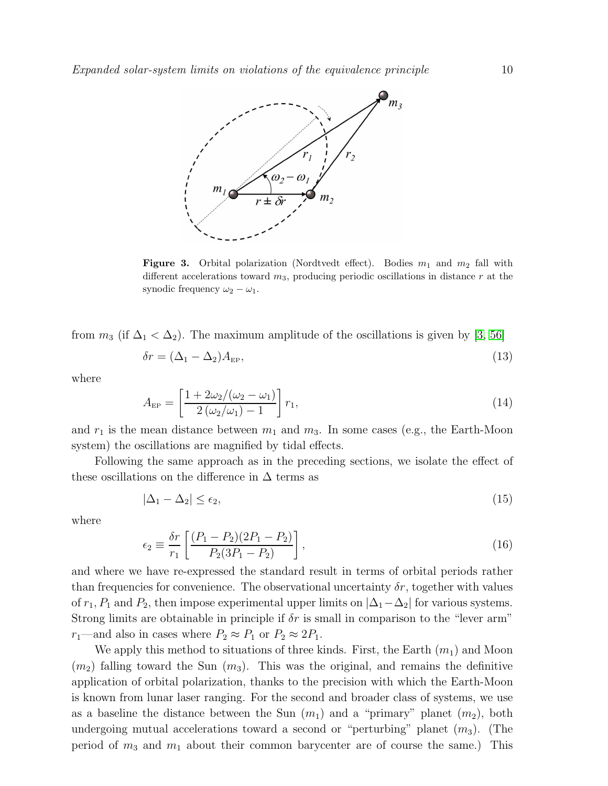

<span id="page-9-0"></span>**Figure 3.** Orbital polarization (Nordtvedt effect). Bodies  $m_1$  and  $m_2$  fall with different accelerations toward  $m_3$ , producing periodic oscillations in distance r at the synodic frequency  $\omega_2 - \omega_1$ .

from  $m_3$  (if  $\Delta_1 < \Delta_2$ ). The maximum amplitude of the oscillations is given by [\[3,](#page-16-2) [56\]](#page-17-27)

$$
\delta r = (\Delta_1 - \Delta_2) A_{\rm EP},\tag{13}
$$

where

$$
A_{\rm EP} = \left[\frac{1 + 2\omega_2/(\omega_2 - \omega_1)}{2(\omega_2/\omega_1) - 1}\right] r_1,
$$
\n(14)

and  $r_1$  is the mean distance between  $m_1$  and  $m_3$ . In some cases (e.g., the Earth-Moon system) the oscillations are magnified by tidal effects.

Following the same approach as in the preceding sections, we isolate the effect of these oscillations on the difference in  $\Delta$  terms as

<span id="page-9-2"></span>
$$
|\Delta_1 - \Delta_2| \le \epsilon_2,\tag{15}
$$

where

<span id="page-9-1"></span>
$$
\epsilon_2 \equiv \frac{\delta r}{r_1} \left[ \frac{(P_1 - P_2)(2P_1 - P_2)}{P_2(3P_1 - P_2)} \right],\tag{16}
$$

and where we have re-expressed the standard result in terms of orbital periods rather than frequencies for convenience. The observational uncertainty  $\delta r$ , together with values of  $r_1$ ,  $P_1$  and  $P_2$ , then impose experimental upper limits on  $|\Delta_1-\Delta_2|$  for various systems. Strong limits are obtainable in principle if  $\delta r$  is small in comparison to the "lever arm"  $r_1$ —and also in cases where  $P_2 \approx P_1$  or  $P_2 \approx 2P_1$ .

We apply this method to situations of three kinds. First, the Earth  $(m_1)$  and Moon  $(m_2)$  falling toward the Sun  $(m_3)$ . This was the original, and remains the definitive application of orbital polarization, thanks to the precision with which the Earth-Moon is known from lunar laser ranging. For the second and broader class of systems, we use as a baseline the distance between the Sun  $(m_1)$  and a "primary" planet  $(m_2)$ , both undergoing mutual accelerations toward a second or "perturbing" planet  $(m_3)$ . (The period of  $m_3$  and  $m_1$  about their common barycenter are of course the same.) This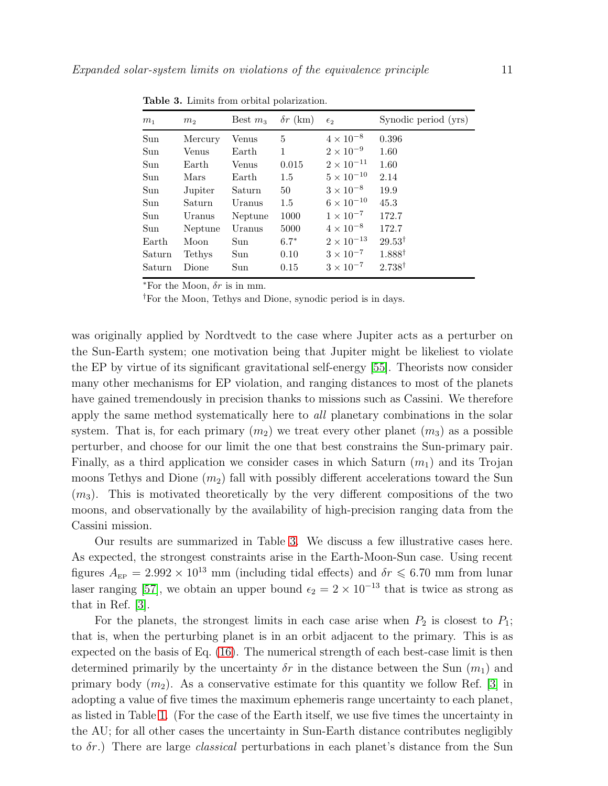<span id="page-10-0"></span>

| m <sub>1</sub> | m <sub>2</sub> | Best $m3$ | $\delta r$ (km) | $\epsilon_2$        | Synodic period (yrs) |
|----------------|----------------|-----------|-----------------|---------------------|----------------------|
| Sun            | Mercury        | Venus     | 5               | $4 \times 10^{-8}$  | 0.396                |
| Sun            | Venus          | Earth     | 1               | $2 \times 10^{-9}$  | 1.60                 |
| Sun            | Earth          | Venus     | 0.015           | $2 \times 10^{-11}$ | 1.60                 |
| Sun            | Mars           | Earth     | $1.5\,$         | $5 \times 10^{-10}$ | 2.14                 |
| Sun            | Jupiter        | Saturn    | 50              | $3 \times 10^{-8}$  | 19.9                 |
| Sun            | Saturn         | Uranus    | 1.5             | $6 \times 10^{-10}$ | 45.3                 |
| Sun            | Uranus         | Neptune   | 1000            | $1 \times 10^{-7}$  | 172.7                |
| Sun            | Neptune        | Uranus    | 5000            | $4 \times 10^{-8}$  | 172.7                |
| Earth          | Moon           | Sun       | $6.7*$          | $2 \times 10^{-13}$ | $29.53^{\dagger}$    |
| Saturn         | Tethys         | Sun       | 0.10            | $3 \times 10^{-7}$  | $1.888^{\dagger}$    |
| Saturn         | Dione          | Sun       | 0.15            | $3 \times 10^{-7}$  | $2.738^{\dagger}$    |

Table 3. Limits from orbital polarization.

 $*$ For the Moon,  $\delta r$  is in mm.

†For the Moon, Tethys and Dione, synodic period is in days.

was originally applied by Nordtvedt to the case where Jupiter acts as a perturber on the Sun-Earth system; one motivation being that Jupiter might be likeliest to violate the EP by virtue of its significant gravitational self-energy [\[55\]](#page-17-26). Theorists now consider many other mechanisms for EP violation, and ranging distances to most of the planets have gained tremendously in precision thanks to missions such as Cassini. We therefore apply the same method systematically here to all planetary combinations in the solar system. That is, for each primary  $(m_2)$  we treat every other planet  $(m_3)$  as a possible perturber, and choose for our limit the one that best constrains the Sun-primary pair. Finally, as a third application we consider cases in which Saturn  $(m_1)$  and its Trojan moons Tethys and Dione  $(m_2)$  fall with possibly different accelerations toward the Sun  $(m_3)$ . This is motivated theoretically by the very different compositions of the two moons, and observationally by the availability of high-precision ranging data from the Cassini mission.

Our results are summarized in Table [3.](#page-10-0) We discuss a few illustrative cases here. As expected, the strongest constraints arise in the Earth-Moon-Sun case. Using recent figures  $A_{\text{EP}} = 2.992 \times 10^{13}$  mm (including tidal effects) and  $\delta r \leq 6.70$  mm from lunar laser ranging [\[57\]](#page-17-28), we obtain an upper bound  $\epsilon_2 = 2 \times 10^{-13}$  that is twice as strong as that in Ref. [\[3\]](#page-16-2).

For the planets, the strongest limits in each case arise when  $P_2$  is closest to  $P_1$ ; that is, when the perturbing planet is in an orbit adjacent to the primary. This is as expected on the basis of Eq. [\(16\)](#page-9-1). The numerical strength of each best-case limit is then determined primarily by the uncertainty  $\delta r$  in the distance between the Sun  $(m_1)$  and primary body  $(m_2)$ . As a conservative estimate for this quantity we follow Ref. [\[3\]](#page-16-2) in adopting a value of five times the maximum ephemeris range uncertainty to each planet, as listed in Table [1.](#page-4-1) (For the case of the Earth itself, we use five times the uncertainty in the AU; for all other cases the uncertainty in Sun-Earth distance contributes negligibly to  $\delta r$ .) There are large *classical* perturbations in each planet's distance from the Sun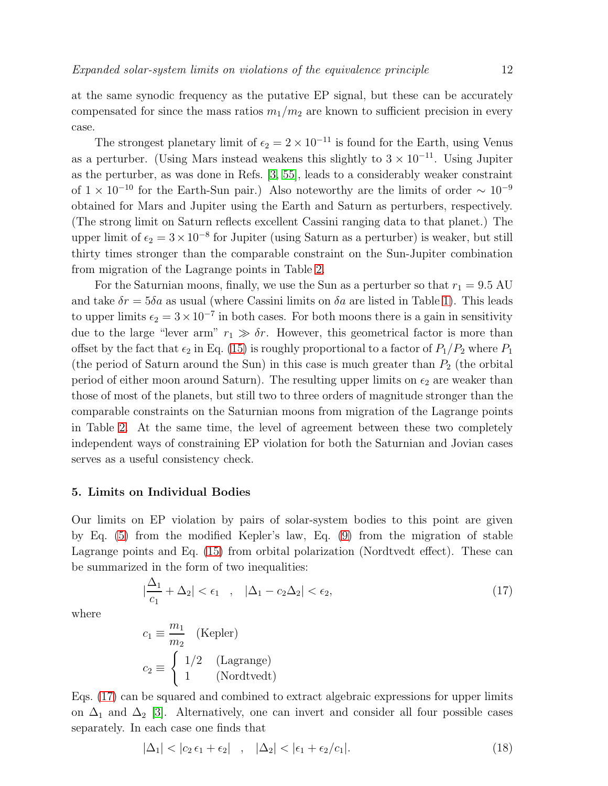at the same synodic frequency as the putative EP signal, but these can be accurately compensated for since the mass ratios  $m_1/m_2$  are known to sufficient precision in every case.

The strongest planetary limit of  $\epsilon_2 = 2 \times 10^{-11}$  is found for the Earth, using Venus as a perturber. (Using Mars instead weakens this slightly to  $3 \times 10^{-11}$ . Using Jupiter as the perturber, as was done in Refs. [\[3,](#page-16-2) [55\]](#page-17-26), leads to a considerably weaker constraint of  $1 \times 10^{-10}$  for the Earth-Sun pair.) Also noteworthy are the limits of order  $\sim 10^{-9}$ obtained for Mars and Jupiter using the Earth and Saturn as perturbers, respectively. (The strong limit on Saturn reflects excellent Cassini ranging data to that planet.) The upper limit of  $\epsilon_2 = 3 \times 10^{-8}$  for Jupiter (using Saturn as a perturber) is weaker, but still thirty times stronger than the comparable constraint on the Sun-Jupiter combination from migration of the Lagrange points in Table [2.](#page-8-1)

For the Saturnian moons, finally, we use the Sun as a perturber so that  $r_1 = 9.5$  AU and take  $\delta r = 5\delta a$  as usual (where Cassini limits on  $\delta a$  are listed in Table [1\)](#page-4-1). This leads to upper limits  $\epsilon_2 = 3 \times 10^{-7}$  in both cases. For both moons there is a gain in sensitivity due to the large "lever arm"  $r_1 \gg \delta r$ . However, this geometrical factor is more than offset by the fact that  $\epsilon_2$  in Eq. [\(15\)](#page-9-2) is roughly proportional to a factor of  $P_1/P_2$  where  $P_1$ (the period of Saturn around the Sun) in this case is much greater than  $P_2$  (the orbital period of either moon around Saturn). The resulting upper limits on  $\epsilon_2$  are weaker than those of most of the planets, but still two to three orders of magnitude stronger than the comparable constraints on the Saturnian moons from migration of the Lagrange points in Table [2.](#page-8-1) At the same time, the level of agreement between these two completely independent ways of constraining EP violation for both the Saturnian and Jovian cases serves as a useful consistency check.

## <span id="page-11-0"></span>5. Limits on Individual Bodies

Our limits on EP violation by pairs of solar-system bodies to this point are given by Eq. [\(5\)](#page-3-5) from the modified Kepler's law, Eq. [\(9\)](#page-6-2) from the migration of stable Lagrange points and Eq. [\(15\)](#page-9-2) from orbital polarization (Nordtvedt effect). These can be summarized in the form of two inequalities:

<span id="page-11-1"></span>
$$
\left|\frac{\Delta_1}{c_1} + \Delta_2\right| < \epsilon_1 \quad , \quad \left|\Delta_1 - c_2\Delta_2\right| < \epsilon_2,\tag{17}
$$

where

$$
c_1 \equiv \frac{m_1}{m_2} \quad \text{(Kepler)}
$$
\n
$$
c_2 \equiv \begin{cases} 1/2 & \text{(Lagrange)}\\ 1 & \text{(Nordtvedt)} \end{cases}
$$

Eqs. [\(17\)](#page-11-1) can be squared and combined to extract algebraic expressions for upper limits on  $\Delta_1$  and  $\Delta_2$  [\[3\]](#page-16-2). Alternatively, one can invert and consider all four possible cases separately. In each case one finds that

<span id="page-11-2"></span>
$$
|\Delta_1| < |c_2 \epsilon_1 + \epsilon_2| \quad , \quad |\Delta_2| < |\epsilon_1 + \epsilon_2/c_1|.
$$
 (18)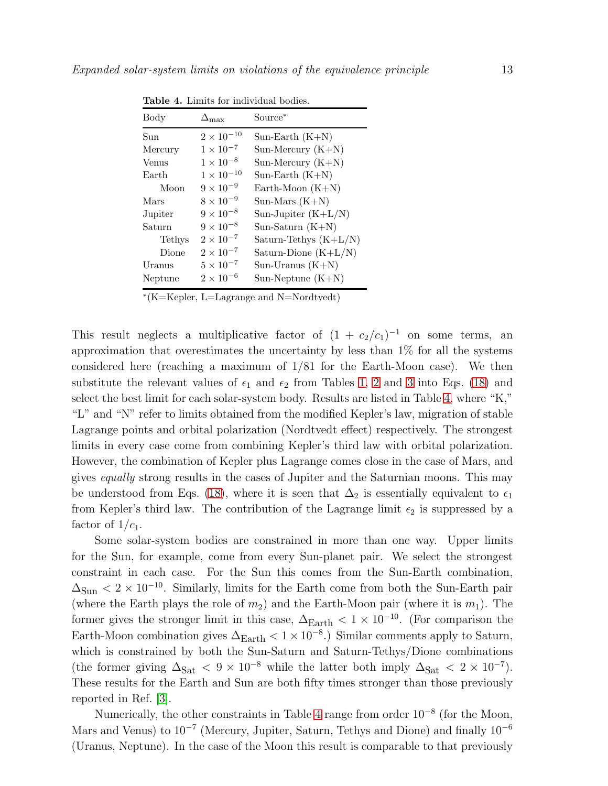<span id="page-12-0"></span>

| Body    | $\epsilon$ max      | Source <sup>*</sup>        |
|---------|---------------------|----------------------------|
| Sun     | $2 \times 10^{-10}$ | Sun-Earth $(K+N)$          |
| Mercury | $1 \times 10^{-7}$  | Sun-Mercury $(K+N)$        |
| Venus   | $1 \times 10^{-8}$  | Sun-Mercury $(K+N)$        |
| Earth   | $1 \times 10^{-10}$ | Sun-Earth $(K+N)$          |
| Moon    | $9 \times 10^{-9}$  | Earth-Moon $(K+N)$         |
| Mars    | $8 \times 10^{-9}$  | $Sun-Mars (K+N)$           |
| Jupiter | $9 \times 10^{-8}$  | Sun-Jupiter $(K+L/N)$      |
| Saturn  | $9 \times 10^{-8}$  | Sun-Saturn $(K+N)$         |
| Tethys  | $2\times10^{-7}$    | Saturn-Tethys $(K+L/N)$    |
| Dione   | $2 \times 10^{-7}$  | Saturn-Dione $(K+L/N)$     |
| Uranus  | $5 \times 10^{-7}$  | $Sun- Uranus (K+N)$        |
| Neptune | $2 \times 10^{-6}$  | $Sun\text{-}Neptune (K+N)$ |

Table 4. Limits for individual bodies.

∗ (K=Kepler, L=Lagrange and N=Nordtvedt)

This result neglects a multiplicative factor of  $(1 + c_2/c_1)^{-1}$  on some terms, an approximation that overestimates the uncertainty by less than 1% for all the systems considered here (reaching a maximum of  $1/81$  for the Earth-Moon case). We then substitute the relevant values of  $\epsilon_1$  and  $\epsilon_2$  from Tables [1,](#page-4-1) [2](#page-8-1) and [3](#page-10-0) into Eqs. [\(18\)](#page-11-2) and select the best limit for each solar-system body. Results are listed in Table [4,](#page-12-0) where "K," "L" and "N" refer to limits obtained from the modified Kepler's law, migration of stable Lagrange points and orbital polarization (Nordtvedt effect) respectively. The strongest limits in every case come from combining Kepler's third law with orbital polarization. However, the combination of Kepler plus Lagrange comes close in the case of Mars, and gives equally strong results in the cases of Jupiter and the Saturnian moons. This may be understood from Eqs. [\(18\)](#page-11-2), where it is seen that  $\Delta_2$  is essentially equivalent to  $\epsilon_1$ from Kepler's third law. The contribution of the Lagrange limit  $\epsilon_2$  is suppressed by a factor of  $1/c_1$ .

Some solar-system bodies are constrained in more than one way. Upper limits for the Sun, for example, come from every Sun-planet pair. We select the strongest constraint in each case. For the Sun this comes from the Sun-Earth combination,  $\Delta_{\text{Sun}} < 2 \times 10^{-10}$ . Similarly, limits for the Earth come from both the Sun-Earth pair (where the Earth plays the role of  $m_2$ ) and the Earth-Moon pair (where it is  $m_1$ ). The former gives the stronger limit in this case,  $\Delta_{\rm Earth} < 1 \times 10^{-10}$ . (For comparison the Earth-Moon combination gives  $\Delta_{\text{Earth}} < 1 \times 10^{-8}$ .) Similar comments apply to Saturn, which is constrained by both the Sun-Saturn and Saturn-Tethys/Dione combinations (the former giving  $\Delta_{\text{Sat}} < 9 \times 10^{-8}$  while the latter both imply  $\Delta_{\text{Sat}} < 2 \times 10^{-7}$ ). These results for the Earth and Sun are both fifty times stronger than those previously reported in Ref. [\[3\]](#page-16-2).

Numerically, the other constraints in Table [4](#page-12-0) range from order  $10^{-8}$  (for the Moon, Mars and Venus) to 10<sup>-7</sup> (Mercury, Jupiter, Saturn, Tethys and Dione) and finally 10<sup>-6</sup> (Uranus, Neptune). In the case of the Moon this result is comparable to that previously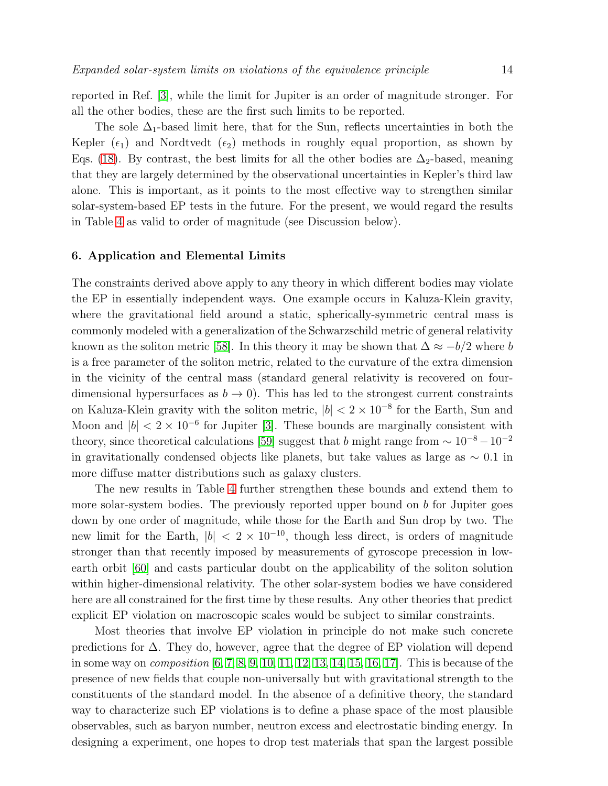reported in Ref. [\[3\]](#page-16-2), while the limit for Jupiter is an order of magnitude stronger. For all the other bodies, these are the first such limits to be reported.

The sole  $\Delta_1$ -based limit here, that for the Sun, reflects uncertainties in both the Kepler  $(\epsilon_1)$  and Nordtvedt  $(\epsilon_2)$  methods in roughly equal proportion, as shown by Eqs. [\(18\)](#page-11-2). By contrast, the best limits for all the other bodies are  $\Delta_2$ -based, meaning that they are largely determined by the observational uncertainties in Kepler's third law alone. This is important, as it points to the most effective way to strengthen similar solar-system-based EP tests in the future. For the present, we would regard the results in Table [4](#page-12-0) as valid to order of magnitude (see Discussion below).

## <span id="page-13-0"></span>6. Application and Elemental Limits

The constraints derived above apply to any theory in which different bodies may violate the EP in essentially independent ways. One example occurs in Kaluza-Klein gravity, where the gravitational field around a static, spherically-symmetric central mass is commonly modeled with a generalization of the Schwarzschild metric of general relativity known as the soliton metric [\[58\]](#page-17-29). In this theory it may be shown that  $\Delta \approx -b/2$  where b is a free parameter of the soliton metric, related to the curvature of the extra dimension in the vicinity of the central mass (standard general relativity is recovered on fourdimensional hypersurfaces as  $b \to 0$ ). This has led to the strongest current constraints on Kaluza-Klein gravity with the soliton metric,  $|b| < 2 \times 10^{-8}$  for the Earth, Sun and Moon and  $|b| < 2 \times 10^{-6}$  for Jupiter [\[3\]](#page-16-2). These bounds are marginally consistent with theory, since theoretical calculations [\[59\]](#page-17-30) suggest that  $b$  might range from  $\sim 10^{-8}-10^{-2}$ in gravitationally condensed objects like planets, but take values as large as  $\sim 0.1$  in more diffuse matter distributions such as galaxy clusters.

The new results in Table [4](#page-12-0) further strengthen these bounds and extend them to more solar-system bodies. The previously reported upper bound on  $b$  for Jupiter goes down by one order of magnitude, while those for the Earth and Sun drop by two. The new limit for the Earth,  $|b| < 2 \times 10^{-10}$ , though less direct, is orders of magnitude stronger than that recently imposed by measurements of gyroscope precession in lowearth orbit [\[60\]](#page-17-31) and casts particular doubt on the applicability of the soliton solution within higher-dimensional relativity. The other solar-system bodies we have considered here are all constrained for the first time by these results. Any other theories that predict explicit EP violation on macroscopic scales would be subject to similar constraints.

Most theories that involve EP violation in principle do not make such concrete predictions for ∆. They do, however, agree that the degree of EP violation will depend in some way on *composition*  $[6, 7, 8, 9, 10, 11, 12, 13, 14, 15, 16, 17]$  $[6, 7, 8, 9, 10, 11, 12, 13, 14, 15, 16, 17]$  $[6, 7, 8, 9, 10, 11, 12, 13, 14, 15, 16, 17]$  $[6, 7, 8, 9, 10, 11, 12, 13, 14, 15, 16, 17]$  $[6, 7, 8, 9, 10, 11, 12, 13, 14, 15, 16, 17]$  $[6, 7, 8, 9, 10, 11, 12, 13, 14, 15, 16, 17]$  $[6, 7, 8, 9, 10, 11, 12, 13, 14, 15, 16, 17]$  $[6, 7, 8, 9, 10, 11, 12, 13, 14, 15, 16, 17]$  $[6, 7, 8, 9, 10, 11, 12, 13, 14, 15, 16, 17]$  $[6, 7, 8, 9, 10, 11, 12, 13, 14, 15, 16, 17]$  $[6, 7, 8, 9, 10, 11, 12, 13, 14, 15, 16, 17]$  $[6, 7, 8, 9, 10, 11, 12, 13, 14, 15, 16, 17]$ . This is because of the presence of new fields that couple non-universally but with gravitational strength to the constituents of the standard model. In the absence of a definitive theory, the standard way to characterize such EP violations is to define a phase space of the most plausible observables, such as baryon number, neutron excess and electrostatic binding energy. In designing a experiment, one hopes to drop test materials that span the largest possible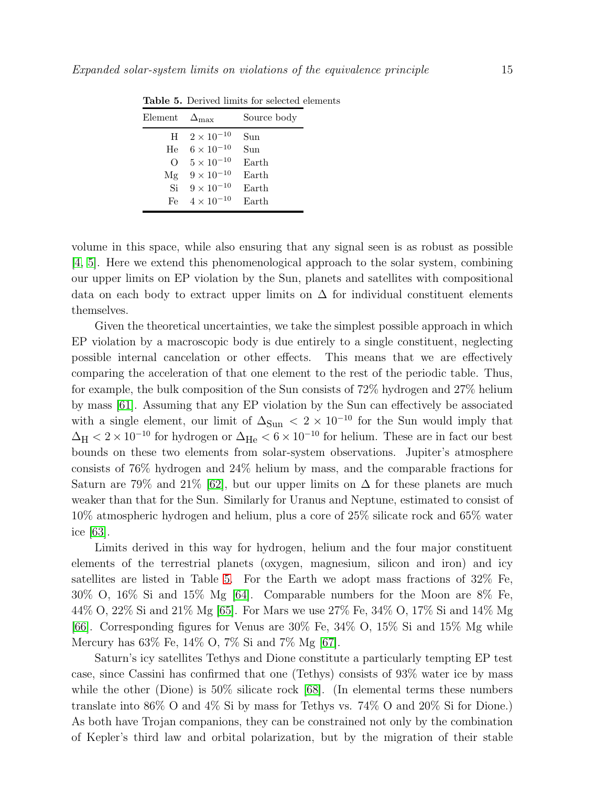<span id="page-14-0"></span>

| Element          | $\Delta_{\rm max}$  | Source body |
|------------------|---------------------|-------------|
| H                | $2 \times 10^{-10}$ | Sun         |
| He               | $6 \times 10^{-10}$ | Sun         |
| $\left( \right)$ | $5 \times 10^{-10}$ | Earth       |
| Mg               | $9 \times 10^{-10}$ | Earth       |
| Si               | $9 \times 10^{-10}$ | Earth       |
| Hρ               | $4 \times 10^{-10}$ | Earth       |

Table 5. Derived limits for selected elements

volume in this space, while also ensuring that any signal seen is as robust as possible [\[4,](#page-16-3) [5\]](#page-16-4). Here we extend this phenomenological approach to the solar system, combining our upper limits on EP violation by the Sun, planets and satellites with compositional data on each body to extract upper limits on  $\Delta$  for individual constituent elements themselves.

Given the theoretical uncertainties, we take the simplest possible approach in which EP violation by a macroscopic body is due entirely to a single constituent, neglecting possible internal cancelation or other effects. This means that we are effectively comparing the acceleration of that one element to the rest of the periodic table. Thus, for example, the bulk composition of the Sun consists of 72% hydrogen and 27% helium by mass [\[61\]](#page-17-32). Assuming that any EP violation by the Sun can effectively be associated with a single element, our limit of  $\Delta_{\text{Sun}} < 2 \times 10^{-10}$  for the Sun would imply that  $\Delta_{\rm H}$  < 2 × 10<sup>-10</sup> for hydrogen or  $\Delta_{\rm He}$  < 6 × 10<sup>-10</sup> for helium. These are in fact our best bounds on these two elements from solar-system observations. Jupiter's atmosphere consists of 76% hydrogen and 24% helium by mass, and the comparable fractions for Saturn are 79% and 21% [\[62\]](#page-17-33), but our upper limits on  $\Delta$  for these planets are much weaker than that for the Sun. Similarly for Uranus and Neptune, estimated to consist of 10% atmospheric hydrogen and helium, plus a core of 25% silicate rock and 65% water ice [\[63\]](#page-17-34).

Limits derived in this way for hydrogen, helium and the four major constituent elements of the terrestrial planets (oxygen, magnesium, silicon and iron) and icy satellites are listed in Table [5.](#page-14-0) For the Earth we adopt mass fractions of 32% Fe, 30% O, 16% Si and 15% Mg [\[64\]](#page-17-35). Comparable numbers for the Moon are 8% Fe, 44% O, 22% Si and 21% Mg [\[65\]](#page-17-36). For Mars we use 27% Fe, 34% O, 17% Si and 14% Mg [\[66\]](#page-17-37). Corresponding figures for Venus are 30% Fe, 34% O, 15% Si and 15% Mg while Mercury has 63% Fe, 14% O, 7% Si and 7% Mg [\[67\]](#page-17-38).

Saturn's icy satellites Tethys and Dione constitute a particularly tempting EP test case, since Cassini has confirmed that one (Tethys) consists of 93% water ice by mass while the other (Dione) is  $50\%$  silicate rock [\[68\]](#page-17-39). (In elemental terms these numbers translate into 86% O and 4% Si by mass for Tethys vs. 74% O and 20% Si for Dione.) As both have Trojan companions, they can be constrained not only by the combination of Kepler's third law and orbital polarization, but by the migration of their stable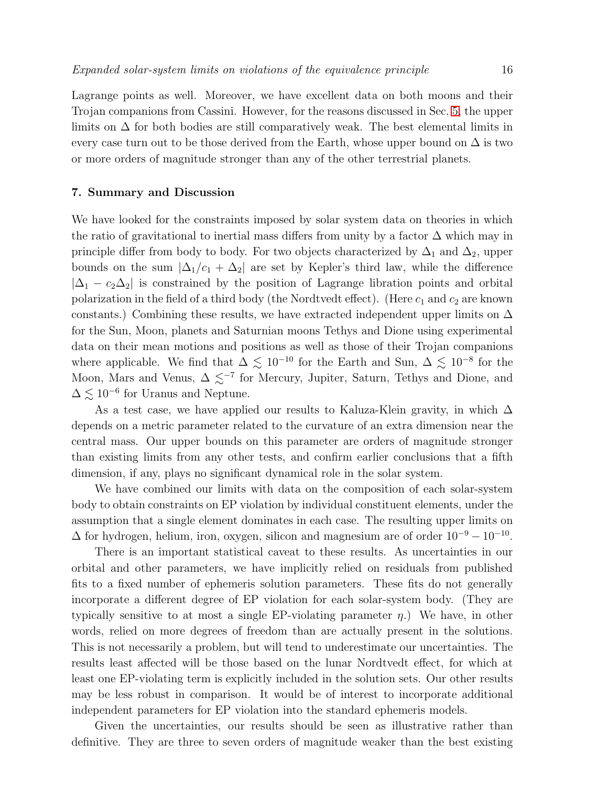Lagrange points as well. Moreover, we have excellent data on both moons and their Trojan companions from Cassini. However, for the reasons discussed in Sec. [5,](#page-11-0) the upper limits on  $\Delta$  for both bodies are still comparatively weak. The best elemental limits in every case turn out to be those derived from the Earth, whose upper bound on  $\Delta$  is two or more orders of magnitude stronger than any of the other terrestrial planets.

#### <span id="page-15-0"></span>7. Summary and Discussion

We have looked for the constraints imposed by solar system data on theories in which the ratio of gravitational to inertial mass differs from unity by a factor  $\Delta$  which may in principle differ from body to body. For two objects characterized by  $\Delta_1$  and  $\Delta_2$ , upper bounds on the sum  $|\Delta_1/c_1 + \Delta_2|$  are set by Kepler's third law, while the difference  $|\Delta_1 - c_2 \Delta_2|$  is constrained by the position of Lagrange libration points and orbital polarization in the field of a third body (the Nordtvedt effect). (Here  $c_1$  and  $c_2$  are known constants.) Combining these results, we have extracted independent upper limits on  $\Delta$ for the Sun, Moon, planets and Saturnian moons Tethys and Dione using experimental data on their mean motions and positions as well as those of their Trojan companions where applicable. We find that  $\Delta \lesssim 10^{-10}$  for the Earth and Sun,  $\Delta \lesssim 10^{-8}$  for the Moon, Mars and Venus,  $\Delta \lesssim^{-7}$  for Mercury, Jupiter, Saturn, Tethys and Dione, and  $\Delta \lesssim 10^{-6}$  for Uranus and Neptune.

As a test case, we have applied our results to Kaluza-Klein gravity, in which  $\Delta$ depends on a metric parameter related to the curvature of an extra dimension near the central mass. Our upper bounds on this parameter are orders of magnitude stronger than existing limits from any other tests, and confirm earlier conclusions that a fifth dimension, if any, plays no significant dynamical role in the solar system.

We have combined our limits with data on the composition of each solar-system body to obtain constraints on EP violation by individual constituent elements, under the assumption that a single element dominates in each case. The resulting upper limits on  $\Delta$  for hydrogen, helium, iron, oxygen, silicon and magnesium are of order  $10^{-9} - 10^{-10}$ .

There is an important statistical caveat to these results. As uncertainties in our orbital and other parameters, we have implicitly relied on residuals from published fits to a fixed number of ephemeris solution parameters. These fits do not generally incorporate a different degree of EP violation for each solar-system body. (They are typically sensitive to at most a single EP-violating parameter  $\eta$ .) We have, in other words, relied on more degrees of freedom than are actually present in the solutions. This is not necessarily a problem, but will tend to underestimate our uncertainties. The results least affected will be those based on the lunar Nordtvedt effect, for which at least one EP-violating term is explicitly included in the solution sets. Our other results may be less robust in comparison. It would be of interest to incorporate additional independent parameters for EP violation into the standard ephemeris models.

Given the uncertainties, our results should be seen as illustrative rather than definitive. They are three to seven orders of magnitude weaker than the best existing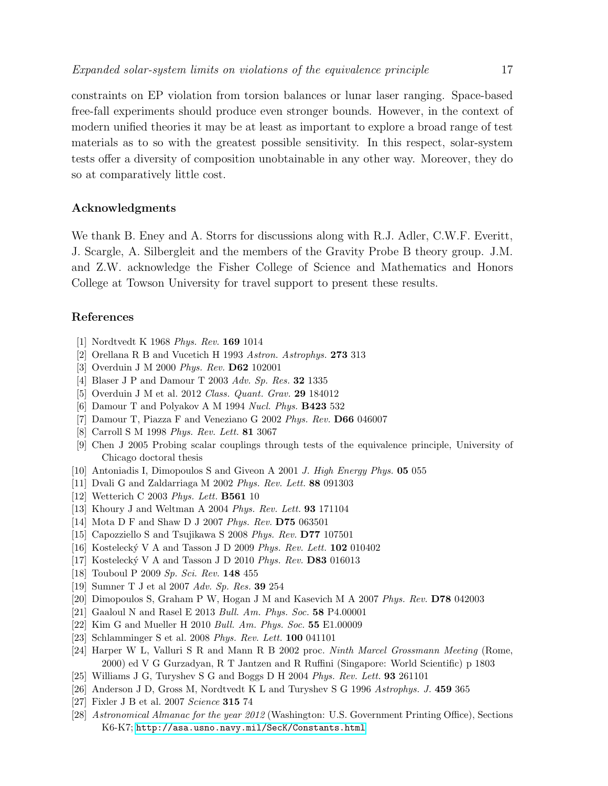constraints on EP violation from torsion balances or lunar laser ranging. Space-based free-fall experiments should produce even stronger bounds. However, in the context of modern unified theories it may be at least as important to explore a broad range of test materials as to so with the greatest possible sensitivity. In this respect, solar-system tests offer a diversity of composition unobtainable in any other way. Moreover, they do so at comparatively little cost.

## Acknowledgments

We thank B. Eney and A. Storrs for discussions along with R.J. Adler, C.W.F. Everitt, J. Scargle, A. Silbergleit and the members of the Gravity Probe B theory group. J.M. and Z.W. acknowledge the Fisher College of Science and Mathematics and Honors College at Towson University for travel support to present these results.

## <span id="page-16-0"></span>References

- <span id="page-16-1"></span>[1] Nordtvedt K 1968 *Phys. Rev.* 169 1014
- <span id="page-16-2"></span>[2] Orellana R B and Vucetich H 1993 *Astron. Astrophys.* 273 313
- <span id="page-16-3"></span>[3] Overduin J M 2000 *Phys. Rev.* D62 102001
- <span id="page-16-4"></span>[4] Blaser J P and Damour T 2003 *Adv. Sp. Res.* 32 1335
- <span id="page-16-5"></span>[5] Overduin J M et al. 2012 *Class. Quant. Grav.* 29 184012
- <span id="page-16-6"></span>[6] Damour T and Polyakov A M 1994 *Nucl. Phys.* B423 532
- <span id="page-16-7"></span>[7] Damour T, Piazza F and Veneziano G 2002 *Phys. Rev.* D66 046007
- <span id="page-16-8"></span>[8] Carroll S M 1998 *Phys. Rev. Lett.* 81 3067
- [9] Chen J 2005 Probing scalar couplings through tests of the equivalence principle, University of Chicago doctoral thesis
- <span id="page-16-10"></span><span id="page-16-9"></span>[10] Antoniadis I, Dimopoulos S and Giveon A 2001 *J. High Energy Phys.* 05 055
- <span id="page-16-11"></span>[11] Dvali G and Zaldarriaga M 2002 *Phys. Rev. Lett.* 88 091303
- <span id="page-16-12"></span>[12] Wetterich C 2003 *Phys. Lett.* B561 10
- <span id="page-16-13"></span>[13] Khoury J and Weltman A 2004 *Phys. Rev. Lett.* 93 171104
- <span id="page-16-14"></span>[14] Mota D F and Shaw D J 2007 *Phys. Rev.* D75 063501
- <span id="page-16-15"></span>[15] Capozziello S and Tsujikawa S 2008 *Phys. Rev.* D77 107501
- <span id="page-16-16"></span>[16] Kosteleck´y V A and Tasson J D 2009 *Phys. Rev. Lett.* 102 010402
- <span id="page-16-17"></span>[17] Kosteleck´y V A and Tasson J D 2010 *Phys. Rev.* D83 016013
- <span id="page-16-18"></span>[18] Touboul P 2009 *Sp. Sci. Rev.* 148 455
- <span id="page-16-19"></span>[19] Sumner T J et al 2007 *Adv. Sp. Res.* 39 254
- <span id="page-16-20"></span>[20] Dimopoulos S, Graham P W, Hogan J M and Kasevich M A 2007 *Phys. Rev.* D78 042003
- <span id="page-16-21"></span>[21] Gaaloul N and Rasel E 2013 *Bull. Am. Phys. Soc.* 58 P4.00001
- <span id="page-16-22"></span>[22] Kim G and Mueller H 2010 *Bull. Am. Phys. Soc.* 55 E1.00009
- <span id="page-16-23"></span>[23] Schlamminger S et al. 2008 *Phys. Rev. Lett.* 100 041101
- [24] Harper W L, Valluri S R and Mann R B 2002 proc. *Ninth Marcel Grossmann Meeting* (Rome, 2000) ed V G Gurzadyan, R T Jantzen and R Ruffini (Singapore: World Scientific) p 1803
- <span id="page-16-25"></span><span id="page-16-24"></span>[25] Williams J G, Turyshev S G and Boggs D H 2004 *Phys. Rev. Lett.* 93 261101
- <span id="page-16-26"></span>[26] Anderson J D, Gross M, Nordtvedt K L and Turyshev S G 1996 *Astrophys. J.* 459 365
- <span id="page-16-27"></span>[27] Fixler J B et al. 2007 *Science* 315 74
- [28] *Astronomical Almanac for the year 2012* (Washington: U.S. Government Printing Office), Sections K6-K7; <http://asa.usno.navy.mil/SecK/Constants.html>